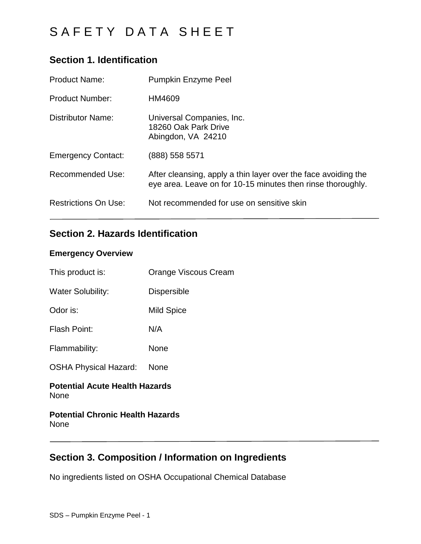## **Section 1. Identification**

| <b>Product Name:</b>        | <b>Pumpkin Enzyme Peel</b>                                                                                                    |
|-----------------------------|-------------------------------------------------------------------------------------------------------------------------------|
| <b>Product Number:</b>      | HM4609                                                                                                                        |
| <b>Distributor Name:</b>    | Universal Companies, Inc.<br>18260 Oak Park Drive<br>Abingdon, VA 24210                                                       |
| <b>Emergency Contact:</b>   | (888) 558 5571                                                                                                                |
| <b>Recommended Use:</b>     | After cleansing, apply a thin layer over the face avoiding the<br>eye area. Leave on for 10-15 minutes then rinse thoroughly. |
| <b>Restrictions On Use:</b> | Not recommended for use on sensitive skin                                                                                     |

## **Section 2. Hazards Identification**

### **Emergency Overview**

| This product is:                              | Orange Viscous Cream |
|-----------------------------------------------|----------------------|
| <b>Water Solubility:</b>                      | <b>Dispersible</b>   |
| Odor is:                                      | Mild Spice           |
| Flash Point:                                  | N/A                  |
| Flammability:                                 | None                 |
| <b>OSHA Physical Hazard:</b>                  | None                 |
| <b>Potential Acute Health Hazards</b><br>None |                      |

### **Potential Chronic Health Hazards** None

## **Section 3. Composition / Information on Ingredients**

No ingredients listed on OSHA Occupational Chemical Database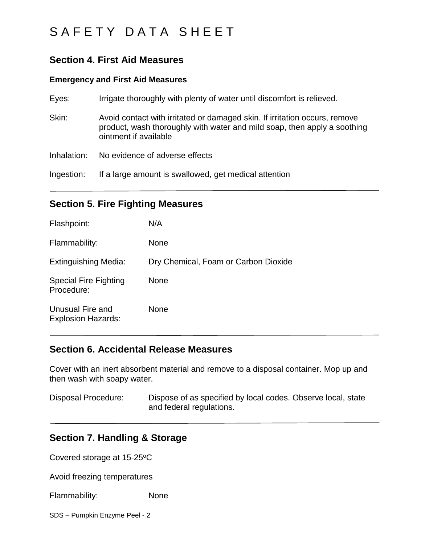### **Section 4. First Aid Measures**

#### **Emergency and First Aid Measures**

| Eyes:       | Irrigate thoroughly with plenty of water until discomfort is relieved.                                                                                                          |
|-------------|---------------------------------------------------------------------------------------------------------------------------------------------------------------------------------|
| Skin:       | Avoid contact with irritated or damaged skin. If irritation occurs, remove<br>product, wash thoroughly with water and mild soap, then apply a soothing<br>ointment if available |
| Inhalation: | No evidence of adverse effects                                                                                                                                                  |
| Ingestion:  | If a large amount is swallowed, get medical attention                                                                                                                           |

### **Section 5. Fire Fighting Measures**

| Flashpoint:                                   | N/A                                  |
|-----------------------------------------------|--------------------------------------|
| Flammability:                                 | <b>None</b>                          |
| <b>Extinguishing Media:</b>                   | Dry Chemical, Foam or Carbon Dioxide |
| <b>Special Fire Fighting</b><br>Procedure:    | <b>None</b>                          |
| Unusual Fire and<br><b>Explosion Hazards:</b> | <b>None</b>                          |

### **Section 6. Accidental Release Measures**

Cover with an inert absorbent material and remove to a disposal container. Mop up and then wash with soapy water.

Disposal Procedure: Dispose of as specified by local codes. Observe local, state and federal regulations.

### **Section 7. Handling & Storage**

Covered storage at 15-25°C

Avoid freezing temperatures

Flammability: None

SDS – Pumpkin Enzyme Peel - 2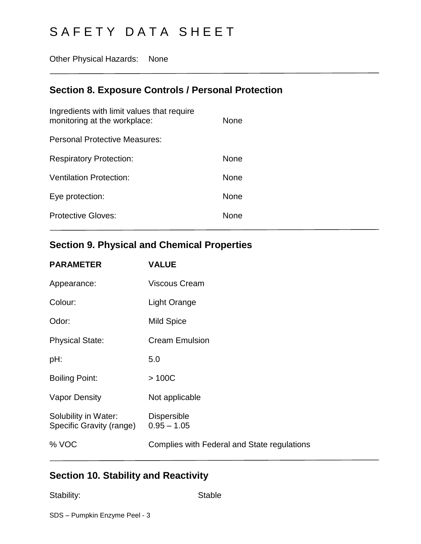Other Physical Hazards: None

## **Section 8. Exposure Controls / Personal Protection**

| None        |
|-------------|
|             |
| <b>None</b> |
| <b>None</b> |
| <b>None</b> |
| None        |
|             |

# **Section 9. Physical and Chemical Properties**

| <b>PARAMETER</b>                                 | <b>VALUE</b>                                |
|--------------------------------------------------|---------------------------------------------|
| Appearance:                                      | <b>Viscous Cream</b>                        |
| Colour:                                          | <b>Light Orange</b>                         |
| Odor:                                            | <b>Mild Spice</b>                           |
| <b>Physical State:</b>                           | <b>Cream Emulsion</b>                       |
| pH:                                              | 5.0                                         |
| <b>Boiling Point:</b>                            | >100C                                       |
| <b>Vapor Density</b>                             | Not applicable                              |
| Solubility in Water:<br>Specific Gravity (range) | <b>Dispersible</b><br>$0.95 - 1.05$         |
| % VOC                                            | Complies with Federal and State regulations |
|                                                  |                                             |

# **Section 10. Stability and Reactivity**

Stability: Stable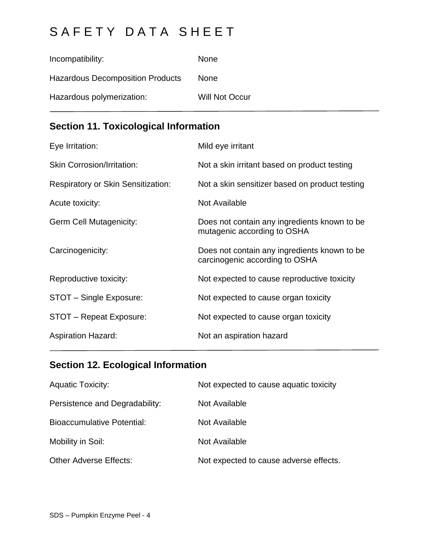| Incompatibility:                        | <b>None</b>           |
|-----------------------------------------|-----------------------|
| <b>Hazardous Decomposition Products</b> | <b>None</b>           |
| Hazardous polymerization:               | <b>Will Not Occur</b> |

# **Section 11. Toxicological Information**

| Eye Irritation:                           | Mild eye irritant                                                              |
|-------------------------------------------|--------------------------------------------------------------------------------|
| <b>Skin Corrosion/Irritation:</b>         | Not a skin irritant based on product testing                                   |
| <b>Respiratory or Skin Sensitization:</b> | Not a skin sensitizer based on product testing                                 |
| Acute toxicity:                           | Not Available                                                                  |
| <b>Germ Cell Mutagenicity:</b>            | Does not contain any ingredients known to be<br>mutagenic according to OSHA    |
| Carcinogenicity:                          | Does not contain any ingredients known to be<br>carcinogenic according to OSHA |
| Reproductive toxicity:                    | Not expected to cause reproductive toxicity                                    |
| STOT - Single Exposure:                   | Not expected to cause organ toxicity                                           |
| STOT - Repeat Exposure:                   | Not expected to cause organ toxicity                                           |
| <b>Aspiration Hazard:</b>                 | Not an aspiration hazard                                                       |

# **Section 12. Ecological Information**

| <b>Aquatic Toxicity:</b>          | Not expected to cause aquatic toxicity |
|-----------------------------------|----------------------------------------|
| Persistence and Degradability:    | Not Available                          |
| <b>Bioaccumulative Potential:</b> | Not Available                          |
| Mobility in Soil:                 | Not Available                          |
| <b>Other Adverse Effects:</b>     | Not expected to cause adverse effects. |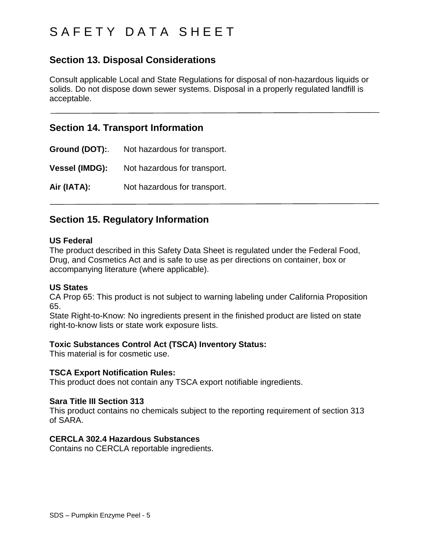# S A F E T Y D A T A S H E E T

## **Section 13. Disposal Considerations**

Consult applicable Local and State Regulations for disposal of non-hazardous liquids or solids. Do not dispose down sewer systems. Disposal in a properly regulated landfill is acceptable.

### **Section 14. Transport Information**

**Ground (DOT):**. Not hazardous for transport. **Vessel (IMDG):** Not hazardous for transport. **Air (IATA):** Not hazardous for transport.

### **Section 15. Regulatory Information**

#### **US Federal**

The product described in this Safety Data Sheet is regulated under the Federal Food, Drug, and Cosmetics Act and is safe to use as per directions on container, box or accompanying literature (where applicable).

### **US States**

CA Prop 65: This product is not subject to warning labeling under California Proposition 65.

State Right-to-Know: No ingredients present in the finished product are listed on state right-to-know lists or state work exposure lists.

### **Toxic Substances Control Act (TSCA) Inventory Status:**

This material is for cosmetic use.

### **TSCA Export Notification Rules:**

This product does not contain any TSCA export notifiable ingredients.

#### **Sara Title III Section 313**

This product contains no chemicals subject to the reporting requirement of section 313 of SARA.

### **CERCLA 302.4 Hazardous Substances**

Contains no CERCLA reportable ingredients.